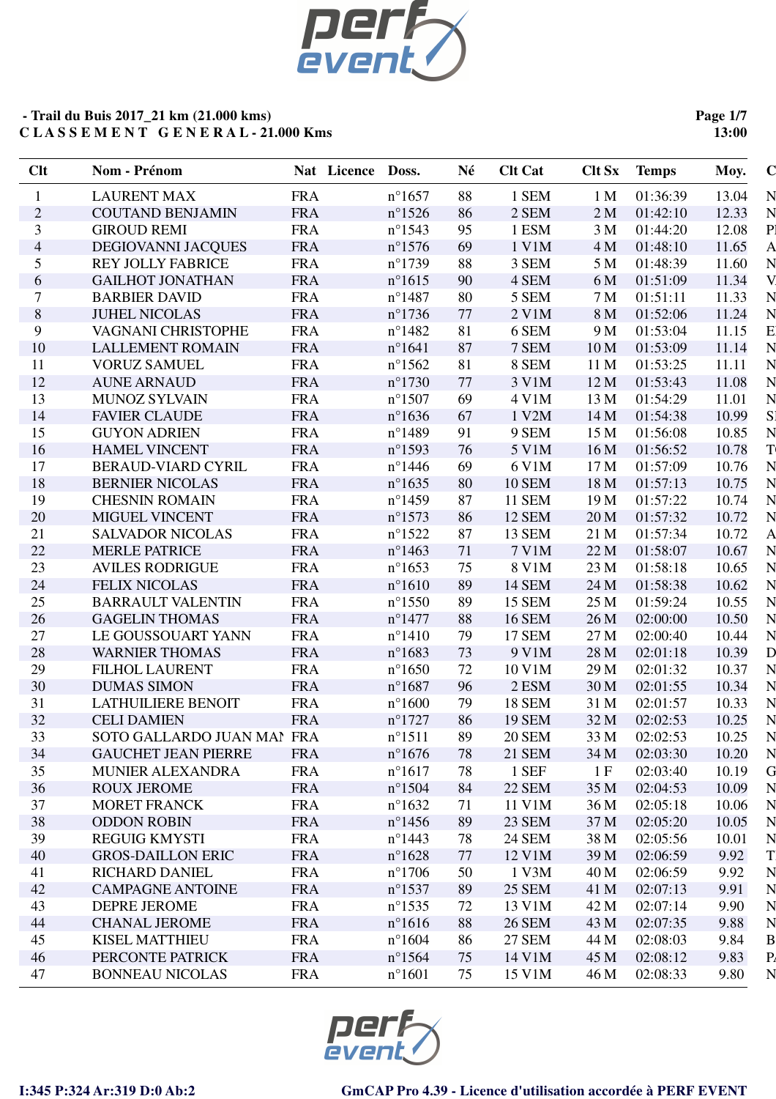

**Page 1/7 13:00**

| Clt            | Nom - Prénom               |            | Nat Licence | Doss.            | Né | <b>Clt Cat</b> | Clt Sx          | <b>Temps</b> | Moy.  | $\mathbf C$    |
|----------------|----------------------------|------------|-------------|------------------|----|----------------|-----------------|--------------|-------|----------------|
| $\mathbf{1}$   | <b>LAURENT MAX</b>         | <b>FRA</b> |             | $n^{\circ}1657$  | 88 | 1 SEM          | 1 <sub>M</sub>  | 01:36:39     | 13.04 | N              |
| $\overline{2}$ | <b>COUTAND BENJAMIN</b>    | <b>FRA</b> |             | $n^{\circ}1526$  | 86 | 2 SEM          | 2 <sub>M</sub>  | 01:42:10     | 12.33 | N              |
| 3              | <b>GIROUD REMI</b>         | <b>FRA</b> |             | $n^{\circ}1543$  | 95 | 1 ESM          | 3 <sub>M</sub>  | 01:44:20     | 12.08 | P <sub>1</sub> |
| $\overline{4}$ | DEGIOVANNI JACQUES         | <b>FRA</b> |             | $n^{\circ}1576$  | 69 | 1 V1M          | 4 M             | 01:48:10     | 11.65 | $\mathbf{A}$   |
| 5              | <b>REY JOLLY FABRICE</b>   | <b>FRA</b> |             | $n^{\circ}1739$  | 88 | 3 SEM          | 5 M             | 01:48:39     | 11.60 | N              |
| 6              | <b>GAILHOT JONATHAN</b>    | <b>FRA</b> |             | $n^{\circ}1615$  | 90 | 4 SEM          | 6 M             | 01:51:09     | 11.34 | V.             |
| 7              | <b>BARBIER DAVID</b>       | <b>FRA</b> |             | $n^{\circ}$ 1487 | 80 | 5 SEM          | 7 <sub>M</sub>  | 01:51:11     | 11.33 | N              |
| 8              | <b>JUHEL NICOLAS</b>       | <b>FRA</b> |             | $n^{\circ}1736$  | 77 | 2 V1M          | 8 M             | 01:52:06     | 11.24 | N              |
| 9              | VAGNANI CHRISTOPHE         | <b>FRA</b> |             | $n^{\circ}$ 1482 | 81 | 6 SEM          | 9 M             | 01:53:04     | 11.15 | E              |
| 10             | <b>LALLEMENT ROMAIN</b>    | <b>FRA</b> |             | $n^{\circ}1641$  | 87 | 7 SEM          | 10 <sub>M</sub> | 01:53:09     | 11.14 | N              |
| 11             | <b>VORUZ SAMUEL</b>        | <b>FRA</b> |             | $n^{\circ}1562$  | 81 | 8 SEM          | 11 M            | 01:53:25     | 11.11 | $\overline{N}$ |
| 12             | <b>AUNE ARNAUD</b>         | <b>FRA</b> |             | $n^{\circ}1730$  | 77 | 3 V1M          | 12 M            | 01:53:43     | 11.08 | N              |
| 13             | <b>MUNOZ SYLVAIN</b>       | <b>FRA</b> |             | $n^{\circ}1507$  | 69 | 4 V1M          | 13 M            | 01:54:29     | 11.01 | N              |
| 14             | <b>FAVIER CLAUDE</b>       | <b>FRA</b> |             | $n^{\circ}1636$  | 67 | 1 V2M          | 14 M            | 01:54:38     | 10.99 | S <sub>1</sub> |
| 15             | <b>GUYON ADRIEN</b>        | <b>FRA</b> |             | $n^{\circ}$ 1489 | 91 | 9 SEM          | 15 M            | 01:56:08     | 10.85 | N              |
| 16             | <b>HAMEL VINCENT</b>       | <b>FRA</b> |             | $n^{\circ}$ 1593 | 76 | 5 V1M          | 16 <sub>M</sub> | 01:56:52     | 10.78 | $\mathbf T$    |
| 17             | <b>BERAUD-VIARD CYRIL</b>  | <b>FRA</b> |             | $n^{\circ}$ 1446 | 69 | 6 V1M          | 17 <sub>M</sub> | 01:57:09     | 10.76 | N              |
| 18             | <b>BERNIER NICOLAS</b>     | <b>FRA</b> |             | $n^{\circ}1635$  | 80 | <b>10 SEM</b>  | 18 M            | 01:57:13     | 10.75 | N              |
| 19             | <b>CHESNIN ROMAIN</b>      | <b>FRA</b> |             | $n^{\circ}$ 1459 | 87 | <b>11 SEM</b>  | 19 M            | 01:57:22     | 10.74 | N              |
| 20             | MIGUEL VINCENT             | <b>FRA</b> |             | $n^{\circ}1573$  | 86 | <b>12 SEM</b>  | 20 <sub>M</sub> | 01:57:32     | 10.72 | N              |
| 21             | <b>SALVADOR NICOLAS</b>    | <b>FRA</b> |             | $n^{\circ}1522$  | 87 | <b>13 SEM</b>  | 21 M            | 01:57:34     | 10.72 | $\mathbf{A}$   |
| 22             | <b>MERLE PATRICE</b>       | <b>FRA</b> |             | $n^{\circ}$ 1463 | 71 | 7 V1M          | 22 M            | 01:58:07     | 10.67 | N              |
| 23             | <b>AVILES RODRIGUE</b>     | <b>FRA</b> |             | $n^{\circ}1653$  | 75 | 8 V1M          | 23 M            | 01:58:18     | 10.65 | $\overline{N}$ |
| 24             | <b>FELIX NICOLAS</b>       | <b>FRA</b> |             | $n^{\circ}1610$  | 89 | <b>14 SEM</b>  | 24 M            | 01:58:38     | 10.62 | $\mathbf N$    |
| 25             | <b>BARRAULT VALENTIN</b>   | <b>FRA</b> |             | $n^{\circ}$ 1550 | 89 | <b>15 SEM</b>  | 25 M            | 01:59:24     | 10.55 | N              |
| 26             | <b>GAGELIN THOMAS</b>      | <b>FRA</b> |             | $n^{\circ}$ 1477 | 88 | <b>16 SEM</b>  | 26 M            | 02:00:00     | 10.50 | N              |
| 27             | LE GOUSSOUART YANN         | <b>FRA</b> |             | $n^{\circ}1410$  | 79 | <b>17 SEM</b>  | 27 M            | 02:00:40     | 10.44 | N              |
| 28             | <b>WARNIER THOMAS</b>      | <b>FRA</b> |             | $n^{\circ}1683$  | 73 | 9 V1M          | 28 M            | 02:01:18     | 10.39 | $\mathbf{D}$   |
| 29             | <b>FILHOL LAURENT</b>      | <b>FRA</b> |             | $n^{\circ}1650$  | 72 | 10 V1M         | 29 M            | 02:01:32     | 10.37 | N              |
| 30             | <b>DUMAS SIMON</b>         | <b>FRA</b> |             | $n^{\circ}1687$  | 96 | 2 ESM          | 30 M            | 02:01:55     | 10.34 | N              |
| 31             | <b>LATHUILIERE BENOIT</b>  | <b>FRA</b> |             | $n^{\circ}1600$  | 79 | <b>18 SEM</b>  | 31 M            | 02:01:57     | 10.33 | N              |
| 32             | <b>CELI DAMIEN</b>         | <b>FRA</b> |             | $n^{\circ}1727$  | 86 | <b>19 SEM</b>  | 32 M            | 02:02:53     | 10.25 | N              |
| 33             | SOTO GALLARDO JUAN MAI FRA |            |             | $n^{\circ}1511$  | 89 | <b>20 SEM</b>  | 33 M            | 02:02:53     | 10.25 | N              |
| 34             | <b>GAUCHET JEAN PIERRE</b> | <b>FRA</b> |             | $n^{\circ}1676$  | 78 | 21 SEM         | 34 M            | 02:03:30     | 10.20 | N              |
| 35             | <b>MUNIER ALEXANDRA</b>    | <b>FRA</b> |             | $n^{\circ}1617$  | 78 | 1 SEF          | 1F              | 02:03:40     | 10.19 | G              |
| 36             | <b>ROUX JEROME</b>         | <b>FRA</b> |             | $n^{\circ}1504$  | 84 | <b>22 SEM</b>  | 35 M            | 02:04:53     | 10.09 | N              |
| 37             | <b>MORET FRANCK</b>        | <b>FRA</b> |             | $n^{\circ}1632$  | 71 | 11 V1M         | 36 M            | 02:05:18     | 10.06 | N              |
| 38             | <b>ODDON ROBIN</b>         | <b>FRA</b> |             | $n^{\circ}$ 1456 | 89 | <b>23 SEM</b>  | 37 M            | 02:05:20     | 10.05 | N              |
| 39             | <b>REGUIG KMYSTI</b>       | <b>FRA</b> |             | $n^{\circ}$ 1443 | 78 | 24 SEM         | 38 M            | 02:05:56     | 10.01 | N              |
| 40             | <b>GROS-DAILLON ERIC</b>   | <b>FRA</b> |             | $n^{\circ}1628$  | 77 | 12 V1M         | 39 M            | 02:06:59     | 9.92  | T.             |
| 41             | RICHARD DANIEL             | <b>FRA</b> |             | $n^{\circ}1706$  | 50 | 1 V3M          | 40 M            | 02:06:59     | 9.92  | N              |
| 42             | <b>CAMPAGNE ANTOINE</b>    | <b>FRA</b> |             | $n^{\circ}$ 1537 | 89 | <b>25 SEM</b>  | 41 M            | 02:07:13     | 9.91  | $\overline{N}$ |
| 43             | <b>DEPRE JEROME</b>        | <b>FRA</b> |             | $n^{\circ}$ 1535 | 72 | 13 V1M         | 42 M            | 02:07:14     | 9.90  | N              |
| 44             | <b>CHANAL JEROME</b>       | <b>FRA</b> |             | $n^{\circ}1616$  | 88 | <b>26 SEM</b>  | 43 M            | 02:07:35     | 9.88  | N              |
| 45             | <b>KISEL MATTHIEU</b>      | <b>FRA</b> |             | $n^{\circ}1604$  | 86 | 27 SEM         | 44 M            | 02:08:03     | 9.84  | $\mathbf B$    |
| 46             | PERCONTE PATRICK           | <b>FRA</b> |             | $n^{\circ}1564$  | 75 | 14 V1M         | 45 M            | 02:08:12     | 9.83  | P <sub>4</sub> |
| 47             | <b>BONNEAU NICOLAS</b>     | <b>FRA</b> |             | $n^{\circ}1601$  | 75 | 15 V1M         | 46 M            | 02:08:33     | 9.80  | N              |
|                |                            |            |             |                  |    |                |                 |              |       |                |

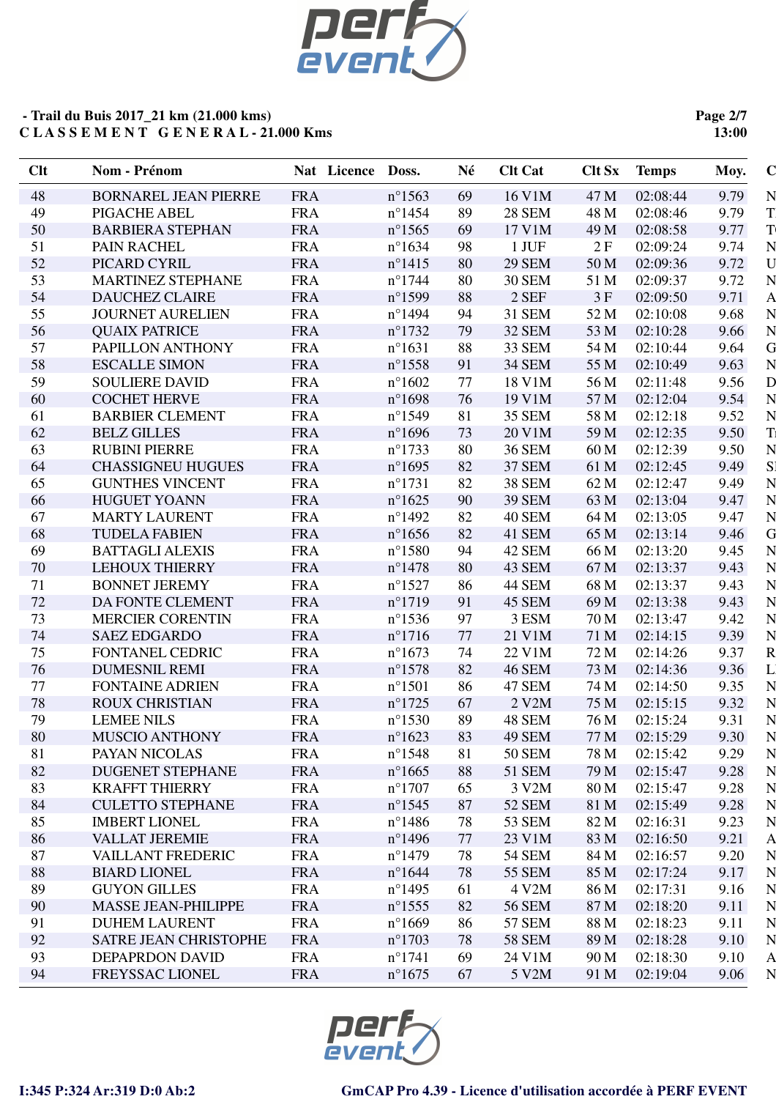

**Page 2/7 13:00**

| Clt | Nom - Prénom                | Nat Licence | Doss.            | Né | <b>Clt Cat</b> | <b>Clt Sx</b> | <b>Temps</b> | Moy. | $\mathbf C$             |
|-----|-----------------------------|-------------|------------------|----|----------------|---------------|--------------|------|-------------------------|
| 48  | <b>BORNAREL JEAN PIERRE</b> | <b>FRA</b>  | $n^{\circ}1563$  | 69 | 16 V1M         | 47 M          | 02:08:44     | 9.79 | N                       |
| 49  | PIGACHE ABEL                | <b>FRA</b>  | $n^{\circ}$ 1454 | 89 | <b>28 SEM</b>  | 48 M          | 02:08:46     | 9.79 | T                       |
| 50  | <b>BARBIERA STEPHAN</b>     | <b>FRA</b>  | $n^{\circ}$ 1565 | 69 | 17 V1M         | 49 M          | 02:08:58     | 9.77 | <b>T</b>                |
| 51  | PAIN RACHEL                 | <b>FRA</b>  | $n^{\circ}1634$  | 98 | 1 JUF          | 2F            | 02:09:24     | 9.74 | N                       |
| 52  | PICARD CYRIL                | <b>FRA</b>  | $n^{\circ}$ 1415 | 80 | <b>29 SEM</b>  | 50 M          | 02:09:36     | 9.72 | U                       |
| 53  | <b>MARTINEZ STEPHANE</b>    | <b>FRA</b>  | $n^{\circ}$ 1744 | 80 | <b>30 SEM</b>  | 51 M          | 02:09:37     | 9.72 | N                       |
| 54  | <b>DAUCHEZ CLAIRE</b>       | <b>FRA</b>  | $n^{\circ}$ 1599 | 88 | 2 SEF          | 3F            | 02:09:50     | 9.71 | $\mathsf{A}$            |
| 55  | <b>JOURNET AURELIEN</b>     | <b>FRA</b>  | $n^{\circ}$ 1494 | 94 | <b>31 SEM</b>  | 52 M          | 02:10:08     | 9.68 | N                       |
| 56  | <b>QUAIX PATRICE</b>        | <b>FRA</b>  | $n^{\circ}1732$  | 79 | 32 SEM         | 53 M          | 02:10:28     | 9.66 | N                       |
| 57  | PAPILLON ANTHONY            | <b>FRA</b>  | $n^{\circ}1631$  | 88 | 33 SEM         | 54 M          | 02:10:44     | 9.64 | G                       |
| 58  | <b>ESCALLE SIMON</b>        | <b>FRA</b>  | $n^{\circ}$ 1558 | 91 | <b>34 SEM</b>  | 55 M          | 02:10:49     | 9.63 | N                       |
| 59  | <b>SOULIERE DAVID</b>       | <b>FRA</b>  | $n^{\circ}1602$  | 77 | 18 V1M         | 56 M          | 02:11:48     | 9.56 | $\overline{\rm D}$      |
| 60  | <b>COCHET HERVE</b>         | <b>FRA</b>  | $n^{\circ}1698$  | 76 | 19 V1M         | 57 M          | 02:12:04     | 9.54 | $\overline{N}$          |
| 61  | <b>BARBIER CLEMENT</b>      | <b>FRA</b>  | $n^{\circ}1549$  | 81 | 35 SEM         | 58 M          | 02:12:18     | 9.52 | N                       |
| 62  | <b>BELZ GILLES</b>          | <b>FRA</b>  | $n^{\circ}1696$  | 73 | 20 V1M         | 59 M          | 02:12:35     | 9.50 | $\rm T\,$               |
| 63  | <b>RUBINI PIERRE</b>        | <b>FRA</b>  | $n^{\circ}1733$  | 80 | <b>36 SEM</b>  | 60 M          | 02:12:39     | 9.50 | N                       |
| 64  | <b>CHASSIGNEU HUGUES</b>    | <b>FRA</b>  | $n^{\circ}1695$  | 82 | <b>37 SEM</b>  | 61 M          | 02:12:45     | 9.49 | S <sub>1</sub>          |
| 65  | <b>GUNTHES VINCENT</b>      | <b>FRA</b>  | $n^{\circ}1731$  | 82 | <b>38 SEM</b>  | 62 M          | 02:12:47     | 9.49 | N                       |
| 66  | <b>HUGUET YOANN</b>         | <b>FRA</b>  | $n^{\circ}1625$  | 90 | <b>39 SEM</b>  | 63 M          | 02:13:04     | 9.47 | N                       |
| 67  | <b>MARTY LAURENT</b>        | <b>FRA</b>  | $n^{\circ}$ 1492 | 82 | 40 SEM         | 64 M          | 02:13:05     | 9.47 | N                       |
| 68  | <b>TUDELA FABIEN</b>        | <b>FRA</b>  | $n^{\circ}1656$  | 82 | 41 SEM         | 65 M          | 02:13:14     | 9.46 | G                       |
| 69  | <b>BATTAGLI ALEXIS</b>      | <b>FRA</b>  | $n^{\circ}$ 1580 | 94 | 42 SEM         | 66 M          | 02:13:20     | 9.45 | N                       |
| 70  | <b>LEHOUX THIERRY</b>       | <b>FRA</b>  | $n^{\circ}$ 1478 | 80 | 43 SEM         | 67 M          | 02:13:37     | 9.43 | N                       |
| 71  | <b>BONNET JEREMY</b>        | <b>FRA</b>  | $n^{\circ}$ 1527 | 86 | <b>44 SEM</b>  | 68 M          | 02:13:37     | 9.43 | N                       |
| 72  | DA FONTE CLEMENT            | <b>FRA</b>  | $n^{\circ}1719$  | 91 | 45 SEM         | 69 M          | 02:13:38     | 9.43 | N                       |
| 73  | <b>MERCIER CORENTIN</b>     | <b>FRA</b>  | $n^{\circ}$ 1536 | 97 | 3 ESM          | 70 M          | 02:13:47     | 9.42 | N                       |
| 74  | <b>SAEZ EDGARDO</b>         | <b>FRA</b>  | $n^{\circ}1716$  | 77 | 21 V1M         | 71 M          | 02:14:15     | 9.39 | N                       |
| 75  | FONTANEL CEDRIC             | <b>FRA</b>  | $n^{\circ}1673$  | 74 | 22 V1M         | 72 M          | 02:14:26     | 9.37 | $\overline{\mathrm{R}}$ |
| 76  | <b>DUMESNIL REMI</b>        | <b>FRA</b>  | $n^{\circ}1578$  | 82 | <b>46 SEM</b>  | 73 M          | 02:14:36     | 9.36 | $\Gamma$                |
| 77  | <b>FONTAINE ADRIEN</b>      | <b>FRA</b>  | $n^{\circ}1501$  | 86 | <b>47 SEM</b>  | 74 M          | 02:14:50     | 9.35 | N                       |
| 78  | <b>ROUX CHRISTIAN</b>       | <b>FRA</b>  | $n^{\circ}1725$  | 67 | 2 V2M          | 75 M          | 02:15:15     | 9.32 | N                       |
| 79  | <b>LEMEE NILS</b>           | <b>FRA</b>  | $n^{\circ}$ 1530 | 89 | 48 SEM         | 76 M          | 02:15:24     | 9.31 | N                       |
| 80  | MUSCIO ANTHONY              | <b>FRA</b>  | $n^{\circ}1623$  | 83 | 49 SEM         | 77 M          | 02:15:29     | 9.30 | N                       |
| 81  | PAYAN NICOLAS               | <b>FRA</b>  | $n^{\circ}$ 1548 | 81 | <b>50 SEM</b>  | 78 M          | 02:15:42     | 9.29 | N                       |
| 82  | <b>DUGENET STEPHANE</b>     | <b>FRA</b>  | $n^{\circ}1665$  | 88 | 51 SEM         | 79 M          | 02:15:47     | 9.28 | $\mathbf N$             |
| 83  | <b>KRAFFT THIERRY</b>       | <b>FRA</b>  | $n^{\circ}1707$  | 65 | 3 V2M          | 80 M          | 02:15:47     | 9.28 | N                       |
| 84  | <b>CULETTO STEPHANE</b>     | <b>FRA</b>  | $n^{\circ}$ 1545 | 87 | 52 SEM         | 81 M          | 02:15:49     | 9.28 | $\mathbf N$             |
| 85  | <b>IMBERT LIONEL</b>        | <b>FRA</b>  | $n^{\circ}$ 1486 | 78 | 53 SEM         | 82 M          | 02:16:31     | 9.23 | N                       |
| 86  | <b>VALLAT JEREMIE</b>       | <b>FRA</b>  | $n^{\circ}$ 1496 | 77 | 23 V1M         | 83 M          | 02:16:50     | 9.21 | $\mathbf{A}$            |
| 87  | <b>VAILLANT FREDERIC</b>    | <b>FRA</b>  | $n^{\circ}$ 1479 | 78 | <b>54 SEM</b>  | 84 M          | 02:16:57     | 9.20 | N                       |
| 88  | <b>BIARD LIONEL</b>         | <b>FRA</b>  | $n^{\circ}1644$  | 78 | 55 SEM         | 85 M          | 02:17:24     | 9.17 | N                       |
| 89  | <b>GUYON GILLES</b>         | <b>FRA</b>  | $n^{\circ}$ 1495 | 61 | 4 V2M          | 86 M          | 02:17:31     | 9.16 | N                       |
| 90  | <b>MASSE JEAN-PHILIPPE</b>  | <b>FRA</b>  | $n^{\circ}$ 1555 | 82 | <b>56 SEM</b>  | 87 M          | 02:18:20     | 9.11 | $\mathbf N$             |
| 91  | <b>DUHEM LAURENT</b>        | <b>FRA</b>  | $n^{\circ}1669$  | 86 | 57 SEM         | 88 M          | 02:18:23     | 9.11 | N                       |
| 92  | SATRE JEAN CHRISTOPHE       | <b>FRA</b>  | $n^{\circ}1703$  | 78 | <b>58 SEM</b>  | 89 M          | 02:18:28     | 9.10 | $\mathbf N$             |
| 93  | <b>DEPAPRDON DAVID</b>      | <b>FRA</b>  | $n^{\circ}1741$  | 69 | 24 V1M         | 90 M          | 02:18:30     | 9.10 | $\mathbf{A}$            |
| 94  | FREYSSAC LIONEL             | <b>FRA</b>  | $n^{\circ}1675$  | 67 | 5 V2M          | 91 M          | 02:19:04     | 9.06 | N                       |
|     |                             |             |                  |    |                |               |              |      |                         |

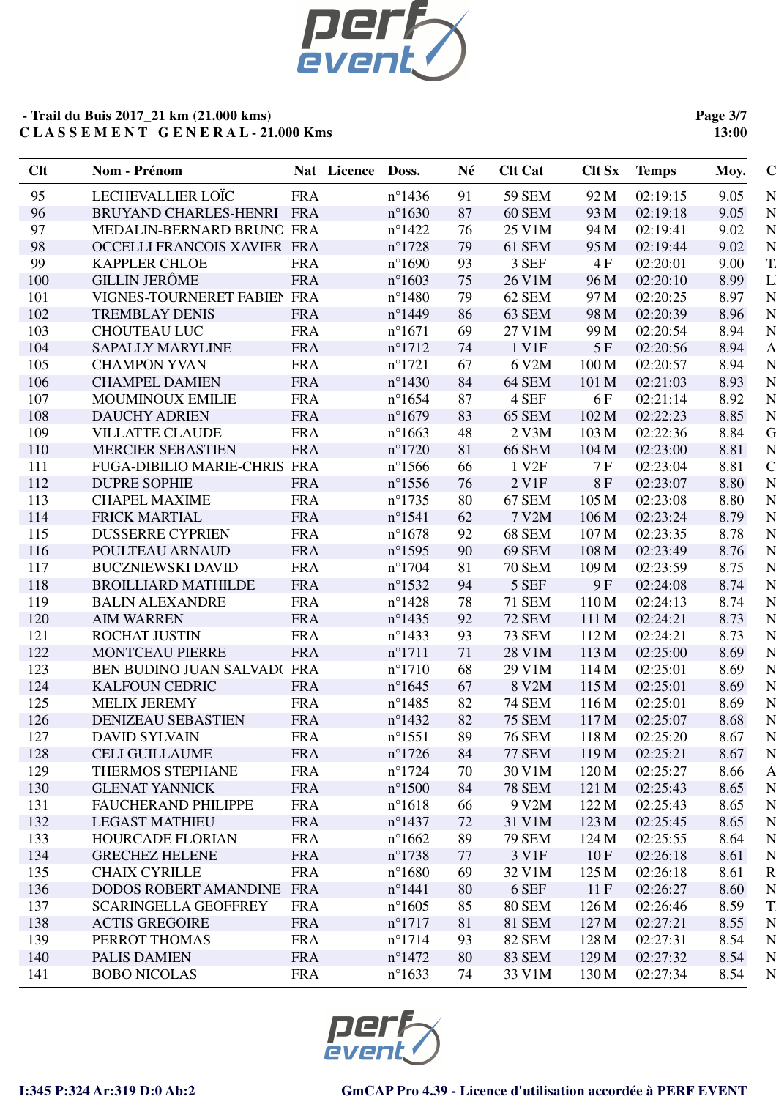

**Page 3/7 13:00**

| Clt | Nom - Prénom                 |            | Nat Licence Doss. |                  | Né | <b>Clt Cat</b>    | <b>Clt Sx</b>    | <b>Temps</b> | Moy. | $\bf C$            |
|-----|------------------------------|------------|-------------------|------------------|----|-------------------|------------------|--------------|------|--------------------|
| 95  | LECHEVALLIER LOÏC            | <b>FRA</b> |                   | $n^{\circ}$ 1436 | 91 | 59 SEM            | 92 M             | 02:19:15     | 9.05 | N                  |
| 96  | BRUYAND CHARLES-HENRI FRA    |            |                   | $n^{\circ}1630$  | 87 | <b>60 SEM</b>     | 93 M             | 02:19:18     | 9.05 | N                  |
| 97  | MEDALIN-BERNARD BRUNO FRA    |            |                   | $n^{\circ}$ 1422 | 76 | 25 V1M            | 94 M             | 02:19:41     | 9.02 | N                  |
| 98  | OCCELLI FRANCOIS XAVIER FRA  |            |                   | $n^{\circ}1728$  | 79 | 61 SEM            | 95 M             | 02:19:44     | 9.02 | N                  |
| 99  | <b>KAPPLER CHLOE</b>         | <b>FRA</b> |                   | $n^{\circ}1690$  | 93 | 3 SEF             | 4F               | 02:20:01     | 9.00 | T.                 |
| 100 | <b>GILLIN JERÔME</b>         | <b>FRA</b> |                   | $n^{\circ}1603$  | 75 | 26 V1M            | 96 M             | 02:20:10     | 8.99 |                    |
| 101 | VIGNES-TOURNERET FABIEN FRA  |            |                   | $n^{\circ}$ 1480 | 79 | 62 SEM            | 97 M             | 02:20:25     | 8.97 | N                  |
| 102 | <b>TREMBLAY DENIS</b>        | <b>FRA</b> |                   | $n^{\circ}$ 1449 | 86 | 63 SEM            | 98 M             | 02:20:39     | 8.96 | N                  |
| 103 | <b>CHOUTEAU LUC</b>          | <b>FRA</b> |                   | $n^{\circ}1671$  | 69 | 27 V1M            | 99 M             | 02:20:54     | 8.94 | N                  |
| 104 | <b>SAPALLY MARYLINE</b>      | <b>FRA</b> |                   | $n^{\circ}1712$  | 74 | 1 V1F             | 5F               | 02:20:56     | 8.94 | A                  |
| 105 | <b>CHAMPON YVAN</b>          | <b>FRA</b> |                   | $n^{\circ}1721$  | 67 | 6 V2M             | 100 M            | 02:20:57     | 8.94 |                    |
| 106 | <b>CHAMPEL DAMIEN</b>        | <b>FRA</b> |                   | $n^{\circ}$ 1430 | 84 | 64 SEM            | 101 M            | 02:21:03     | 8.93 | N                  |
| 107 | MOUMINOUX EMILIE             | <b>FRA</b> |                   | $n^{\circ}1654$  | 87 | 4 SEF             | 6 F              | 02:21:14     | 8.92 | N                  |
| 108 | <b>DAUCHY ADRIEN</b>         | <b>FRA</b> |                   | $n^{\circ}1679$  | 83 | 65 SEM            | 102 M            | 02:22:23     | 8.85 | N                  |
| 109 | <b>VILLATTE CLAUDE</b>       | <b>FRA</b> |                   | $n^{\circ}1663$  | 48 | 2 V3M             | 103 M            | 02:22:36     | 8.84 | G                  |
| 110 | <b>MERCIER SEBASTIEN</b>     | <b>FRA</b> |                   | $n^{\circ}1720$  | 81 | <b>66 SEM</b>     | 104 M            | 02:23:00     | 8.81 | N                  |
| 111 | FUGA-DIBILIO MARIE-CHRIS FRA |            |                   | $n^{\circ}1566$  | 66 | 1 V <sub>2F</sub> | 7 F              | 02:23:04     | 8.81 | $\overline{\rm C}$ |
| 112 | <b>DUPRE SOPHIE</b>          | <b>FRA</b> |                   | $n^{\circ}$ 1556 | 76 | 2 V <sub>1F</sub> | $8\,\mathrm{F}$  | 02:23:07     | 8.80 | N                  |
| 113 | <b>CHAPEL MAXIME</b>         | <b>FRA</b> |                   | $n^{\circ}1735$  | 80 | 67 SEM            | 105 <sub>M</sub> | 02:23:08     | 8.80 | N                  |
| 114 | <b>FRICK MARTIAL</b>         | <b>FRA</b> |                   | $n^{\circ}1541$  | 62 | 7 V2M             | 106 M            | 02:23:24     | 8.79 | N                  |
| 115 | <b>DUSSERRE CYPRIEN</b>      | <b>FRA</b> |                   | $n^{\circ}1678$  | 92 | <b>68 SEM</b>     | 107 <sub>M</sub> | 02:23:35     | 8.78 | N                  |
| 116 | POULTEAU ARNAUD              | <b>FRA</b> |                   | $n^{\circ}$ 1595 | 90 | <b>69 SEM</b>     | 108 M            | 02:23:49     | 8.76 | N                  |
| 117 | <b>BUCZNIEWSKI DAVID</b>     | <b>FRA</b> |                   | $n^{\circ}1704$  | 81 | <b>70 SEM</b>     | 109 M            | 02:23:59     | 8.75 | N                  |
| 118 | <b>BROILLIARD MATHILDE</b>   | <b>FRA</b> |                   | $n^{\circ}$ 1532 | 94 | 5 SEF             | 9 F              | 02:24:08     | 8.74 | N                  |
| 119 | <b>BALIN ALEXANDRE</b>       | <b>FRA</b> |                   | $n^{\circ}$ 1428 | 78 | <b>71 SEM</b>     | 110 M            | 02:24:13     | 8.74 | N                  |
| 120 | <b>AIM WARREN</b>            | <b>FRA</b> |                   | $n^{\circ}$ 1435 | 92 | <b>72 SEM</b>     | 111 M            | 02:24:21     | 8.73 | N                  |
| 121 | <b>ROCHAT JUSTIN</b>         | <b>FRA</b> |                   | $n^{\circ}$ 1433 | 93 | <b>73 SEM</b>     | 112 M            | 02:24:21     | 8.73 | N                  |
| 122 | <b>MONTCEAU PIERRE</b>       | <b>FRA</b> |                   | $n^{\circ}1711$  | 71 | 28 V1M            | 113 M            | 02:25:00     | 8.69 | N                  |
| 123 | BEN BUDINO JUAN SALVAD(FRA   |            |                   | $n^{\circ}1710$  | 68 | 29 V1M            | 114 M            | 02:25:01     | 8.69 | N                  |
| 124 | <b>KALFOUN CEDRIC</b>        | <b>FRA</b> |                   | $n^{\circ}1645$  | 67 | 8 V2M             | 115 M            | 02:25:01     | 8.69 | N                  |
| 125 | <b>MELIX JEREMY</b>          | <b>FRA</b> |                   | $n^{\circ}$ 1485 | 82 | <b>74 SEM</b>     | 116M             | 02:25:01     | 8.69 | N                  |
| 126 | <b>DENIZEAU SEBASTIEN</b>    | <b>FRA</b> |                   | $n^{\circ}$ 1432 | 82 | <b>75 SEM</b>     | 117 M            | 02:25:07     | 8.68 |                    |
| 127 | <b>DAVID SYLVAIN</b>         | <b>FRA</b> |                   | $n^{\circ}1551$  | 89 | <b>76 SEM</b>     | 118 M            | 02:25:20     | 8.67 | N                  |
| 128 | <b>CELI GUILLAUME</b>        | <b>FRA</b> |                   | $n^{\circ}1726$  | 84 | <b>77 SEM</b>     | 119M             | 02:25:21     | 8.67 | N                  |
| 129 | THERMOS STEPHANE             | <b>FRA</b> |                   | $n^{\circ}1724$  | 70 | 30 V1M            | 120 M            | 02:25:27     | 8.66 | $\mathsf{A}$       |
| 130 | <b>GLENAT YANNICK</b>        | <b>FRA</b> |                   | $n^{\circ}1500$  | 84 | <b>78 SEM</b>     | 121 M            | 02:25:43     | 8.65 | N                  |
| 131 | <b>FAUCHERAND PHILIPPE</b>   | <b>FRA</b> |                   | $n^{\circ}1618$  | 66 | 9 V2M             | 122 M            | 02:25:43     | 8.65 |                    |
| 132 | <b>LEGAST MATHIEU</b>        | <b>FRA</b> |                   | $n^{\circ}$ 1437 | 72 | 31 V1M            | 123 M            | 02:25:45     | 8.65 | N                  |
| 133 | <b>HOURCADE FLORIAN</b>      | <b>FRA</b> |                   | $n^{\circ}1662$  | 89 | <b>79 SEM</b>     | 124 M            | 02:25:55     | 8.64 | N                  |
| 134 | <b>GRECHEZ HELENE</b>        | <b>FRA</b> |                   | $n^{\circ}1738$  | 77 | 3 V1F             | 10F              | 02:26:18     | 8.61 | N                  |
| 135 | <b>CHAIX CYRILLE</b>         | <b>FRA</b> |                   | $n^{\circ}1680$  | 69 | 32 V1M            | 125 M            | 02:26:18     | 8.61 | R                  |
| 136 | DODOS ROBERT AMANDINE FRA    |            |                   | $n^{\circ}$ 1441 | 80 | 6 SEF             | 11F              | 02:26:27     | 8.60 |                    |
| 137 | <b>SCARINGELLA GEOFFREY</b>  | <b>FRA</b> |                   | $n^{\circ}1605$  | 85 | <b>80 SEM</b>     | 126 M            | 02:26:46     | 8.59 | T                  |
| 138 | <b>ACTIS GREGOIRE</b>        | <b>FRA</b> |                   | $n^{\circ}1717$  | 81 | <b>81 SEM</b>     | 127 M            | 02:27:21     | 8.55 | N                  |
| 139 | PERROT THOMAS                | <b>FRA</b> |                   | $n^{\circ}1714$  | 93 | <b>82 SEM</b>     | 128 M            | 02:27:31     | 8.54 | N                  |
| 140 | PALIS DAMIEN                 | <b>FRA</b> |                   | $n^{\circ}$ 1472 | 80 | 83 SEM            | 129 M            | 02:27:32     | 8.54 | N                  |
| 141 | <b>BOBO NICOLAS</b>          | <b>FRA</b> |                   | $n^{\circ}1633$  | 74 | 33 V1M            | 130 M            | 02:27:34     | 8.54 | N                  |
|     |                              |            |                   |                  |    |                   |                  |              |      |                    |

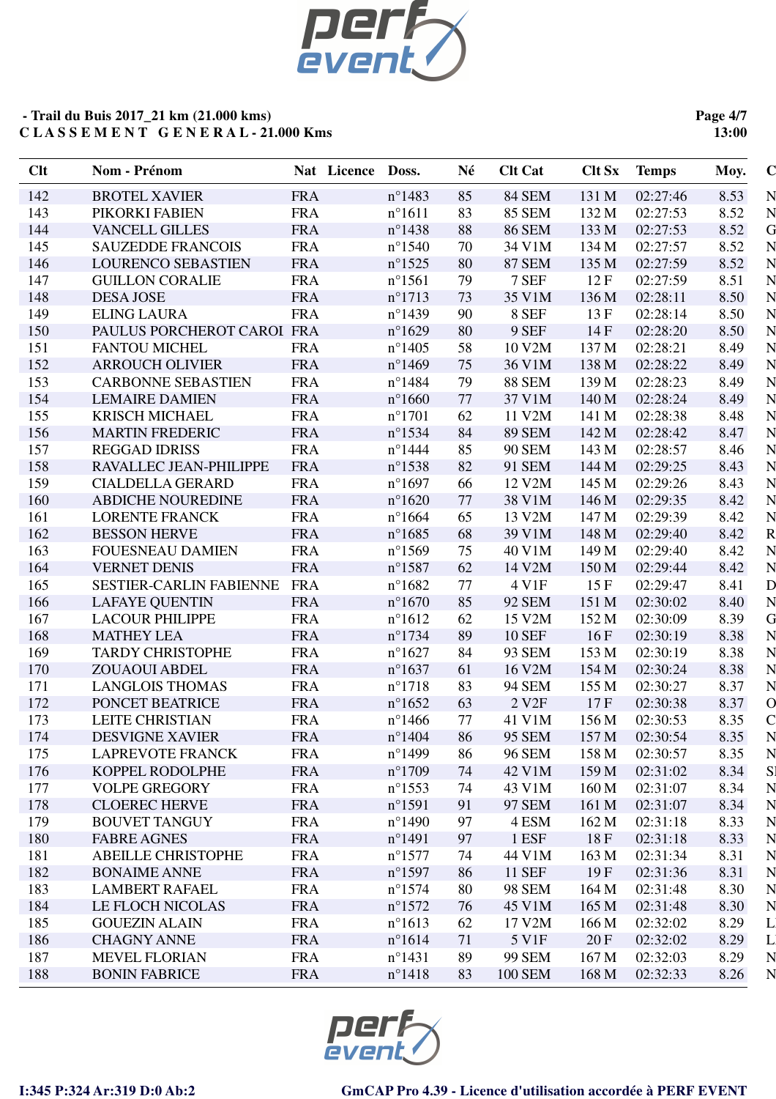

**Page 4/7 13:00**

| Clt | Nom - Prénom                   | Nat Licence Doss. |                  | Né | <b>Clt Cat</b>    | <b>Clt Sx</b> | <b>Temps</b> | Moy.         | $\mathbf C$        |
|-----|--------------------------------|-------------------|------------------|----|-------------------|---------------|--------------|--------------|--------------------|
| 142 | <b>BROTEL XAVIER</b>           | <b>FRA</b>        | $n^{\circ}$ 1483 | 85 | <b>84 SEM</b>     | 131 M         | 02:27:46     | 8.53         | $\mathbf N$        |
| 143 | PIKORKI FABIEN                 | <b>FRA</b>        | $n^{\circ}1611$  | 83 | <b>85 SEM</b>     | 132 M         | 02:27:53     | 8.52         | $\overline{N}$     |
| 144 | <b>VANCELL GILLES</b>          | <b>FRA</b>        | $n^{\circ}$ 1438 | 88 | <b>86 SEM</b>     | 133 M         | 02:27:53     | 8.52         | G                  |
| 145 | <b>SAUZEDDE FRANCOIS</b>       | <b>FRA</b>        | $n^{\circ}1540$  | 70 | 34 V1M            | 134 M         | 02:27:57     | 8.52         | N                  |
| 146 | <b>LOURENCO SEBASTIEN</b>      | <b>FRA</b>        | $n^{\circ}$ 1525 | 80 | <b>87 SEM</b>     | 135 M         | 02:27:59     | 8.52         | N                  |
| 147 | <b>GUILLON CORALIE</b>         | <b>FRA</b>        | $n^{\circ}1561$  | 79 | 7 SEF             | 12F           | 02:27:59     | 8.51         | N                  |
| 148 | <b>DESA JOSE</b>               | <b>FRA</b>        | $n^{\circ}1713$  | 73 | 35 V1M            | 136 M         | 02:28:11     | 8.50         | N                  |
| 149 | <b>ELING LAURA</b>             | <b>FRA</b>        | $n^{\circ}$ 1439 | 90 | 8 SEF             | 13F           | 02:28:14     | 8.50         | N                  |
| 150 | PAULUS PORCHEROT CAROI FRA     |                   | $n^{\circ}1629$  | 80 | 9 SEF             | 14F           | 02:28:20     | 8.50         | N                  |
| 151 | <b>FANTOU MICHEL</b>           | <b>FRA</b>        | $n^{\circ}$ 1405 | 58 | 10 V2M            | 137 M         | 02:28:21     | 8.49         | N                  |
| 152 | <b>ARROUCH OLIVIER</b>         | <b>FRA</b>        | $n^{\circ}$ 1469 | 75 | 36 V1M            | 138 M         | 02:28:22     | 8.49         | N                  |
| 153 | <b>CARBONNE SEBASTIEN</b>      | <b>FRA</b>        | $n^{\circ}$ 1484 | 79 | <b>88 SEM</b>     | 139 M         | 02:28:23     | 8.49         | N                  |
| 154 | <b>LEMAIRE DAMIEN</b>          | <b>FRA</b>        | $n^{\circ}1660$  | 77 | 37 V1M            | 140 M         | 02:28:24     | 8.49         | N                  |
| 155 | <b>KRISCH MICHAEL</b>          | <b>FRA</b>        | $n^{\circ}1701$  | 62 | 11 V2M            | 141 M         | 02:28:38     | 8.48         | N                  |
| 156 | <b>MARTIN FREDERIC</b>         | <b>FRA</b>        | $n^{\circ}$ 1534 | 84 | <b>89 SEM</b>     | 142 M         | 02:28:42     | 8.47         | N                  |
| 157 | <b>REGGAD IDRISS</b>           | <b>FRA</b>        | $n^{\circ}$ 1444 | 85 | <b>90 SEM</b>     | 143 M         | 02:28:57     | 8.46         | N                  |
| 158 | RAVALLEC JEAN-PHILIPPE         | <b>FRA</b>        | $n^{\circ}$ 1538 | 82 | 91 SEM            | 144 M         | 02:29:25     | 8.43         | N                  |
| 159 | <b>CIALDELLA GERARD</b>        | <b>FRA</b>        | $n^{\circ}1697$  | 66 | 12 V2M            | 145 M         | 02:29:26     | 8.43         | N                  |
| 160 | <b>ABDICHE NOUREDINE</b>       | <b>FRA</b>        | $n^{\circ}1620$  | 77 | 38 V1M            | 146 M         | 02:29:35     | 8.42         | N                  |
| 161 | <b>LORENTE FRANCK</b>          | <b>FRA</b>        | $n^{\circ}1664$  | 65 | 13 V2M            | 147 M         | 02:29:39     | 8.42         | N                  |
| 162 | <b>BESSON HERVE</b>            | <b>FRA</b>        | $n^{\circ}1685$  | 68 | 39 V1M            | 148 M         | 02:29:40     | 8.42         | R                  |
| 163 | <b>FOUESNEAU DAMIEN</b>        | <b>FRA</b>        | $n^{\circ}$ 1569 | 75 | 40 V1M            | 149 M         | 02:29:40     | 8.42         | N                  |
| 164 | <b>VERNET DENIS</b>            | <b>FRA</b>        | $n^{\circ}$ 1587 | 62 | 14 V2M            | 150 M         | 02:29:44     | 8.42         | N                  |
| 165 | <b>SESTIER-CARLIN FABIENNE</b> | <b>FRA</b>        | $n^{\circ}1682$  | 77 | 4 V1F             | 15F           | 02:29:47     | 8.41         | D                  |
| 166 | <b>LAFAYE QUENTIN</b>          | <b>FRA</b>        | $n^{\circ}1670$  | 85 | <b>92 SEM</b>     | 151 M         | 02:30:02     | 8.40         | N                  |
| 167 | <b>LACOUR PHILIPPE</b>         | <b>FRA</b>        | $n^{\circ}1612$  | 62 | 15 V2M            | 152 M         | 02:30:09     | 8.39         | G                  |
| 168 | <b>MATHEY LEA</b>              | <b>FRA</b>        | $n^{\circ}$ 1734 | 89 | <b>10 SEF</b>     | 16F           | 02:30:19     | 8.38         | N                  |
| 169 | <b>TARDY CHRISTOPHE</b>        | <b>FRA</b>        | $n^{\circ}1627$  | 84 | 93 SEM            | 153 M         | 02:30:19     | 8.38         | N                  |
| 170 | <b>ZOUAOUI ABDEL</b>           | <b>FRA</b>        | $n^{\circ}1637$  | 61 | 16 V2M            | 154 M         | 02:30:24     | 8.38         | N                  |
| 171 | <b>LANGLOIS THOMAS</b>         | <b>FRA</b>        | $n^{\circ}1718$  | 83 | <b>94 SEM</b>     | 155 M         | 02:30:27     | 8.37         | $\overline{N}$     |
| 172 | PONCET BEATRICE                | <b>FRA</b>        | $n^{\circ}1652$  | 63 | 2 V <sub>2F</sub> | 17F           | 02:30:38     | 8.37         | $\overline{O}$     |
| 173 | <b>LEITE CHRISTIAN</b>         | <b>FRA</b>        | $n^{\circ}$ 1466 | 77 | 41 V1M            | 156 M         | 02:30:53     | 8.35         | $\mathbf C$        |
| 174 | <b>DESVIGNE XAVIER</b>         | <b>FRA</b>        | $n^{\circ}$ 1404 | 86 | <b>95 SEM</b>     | 157 M         | 02:30:54     | 8.35         | N                  |
| 175 | <b>LAPREVOTE FRANCK</b>        | <b>FRA</b>        | $n^{\circ}$ 1499 | 86 | <b>96 SEM</b>     | 158 M         | 02:30:57     | 8.35         | N                  |
| 176 | KOPPEL RODOLPHE                | <b>FRA</b>        | $n^{\circ}1709$  | 74 | 42 V1M            | 159 M         | 02:31:02     | 8.34         | S <sub>1</sub>     |
| 177 | <b>VOLPE GREGORY</b>           | <b>FRA</b>        | $n^{\circ}$ 1553 | 74 | 43 V1M            | 160 M         | 02:31:07     | 8.34         | $\overline{\bf N}$ |
| 178 | <b>CLOEREC HERVE</b>           | <b>FRA</b>        | $n^{\circ}1591$  | 91 | 97 SEM            | 161 M         | 02:31:07     |              | $\mathbf N$        |
| 179 | <b>BOUVET TANGUY</b>           | <b>FRA</b>        | $n^{\circ}$ 1490 | 97 | 4 ESM             | 162 M         | 02:31:18     | 8.34<br>8.33 | $\mathbf N$        |
|     |                                |                   |                  |    |                   |               |              |              | N                  |
| 180 | <b>FABRE AGNES</b>             | <b>FRA</b>        | $n^{\circ}1491$  | 97 | 1 ESF             | 18 F          | 02:31:18     | 8.33         | $\overline{N}$     |
| 181 | <b>ABEILLE CHRISTOPHE</b>      | <b>FRA</b>        | $n^{\circ}$ 1577 | 74 | 44 V1M            | 163 M         | 02:31:34     | 8.31         |                    |
| 182 | <b>BONAIME ANNE</b>            | <b>FRA</b>        | $n^{\circ}$ 1597 | 86 | <b>11 SEF</b>     | 19F           | 02:31:36     | 8.31         | N                  |
| 183 | <b>LAMBERT RAFAEL</b>          | <b>FRA</b>        | $n^{\circ}1574$  | 80 | <b>98 SEM</b>     | 164 M         | 02:31:48     | 8.30         | $\mathbf N$        |
| 184 | LE FLOCH NICOLAS               | <b>FRA</b>        | $n^{\circ}1572$  | 76 | 45 V1M            | 165 M         | 02:31:48     | 8.30         | $\mathbf N$        |
| 185 | <b>GOUEZIN ALAIN</b>           | <b>FRA</b>        | $n^{\circ}1613$  | 62 | 17 V2M            | 166 M         | 02:32:02     | 8.29         | $\Gamma$           |
| 186 | <b>CHAGNY ANNE</b>             | <b>FRA</b>        | $n^{\circ}1614$  | 71 | 5 V1F             | 20 F          | 02:32:02     | 8.29         | $\Gamma$           |
| 187 | <b>MEVEL FLORIAN</b>           | <b>FRA</b>        | $n^{\circ}1431$  | 89 | <b>99 SEM</b>     | 167 M         | 02:32:03     | 8.29         | N                  |
| 188 | <b>BONIN FABRICE</b>           | <b>FRA</b>        | $n^{\circ}$ 1418 | 83 | <b>100 SEM</b>    | 168 M         | 02:32:33     | 8.26         | N                  |

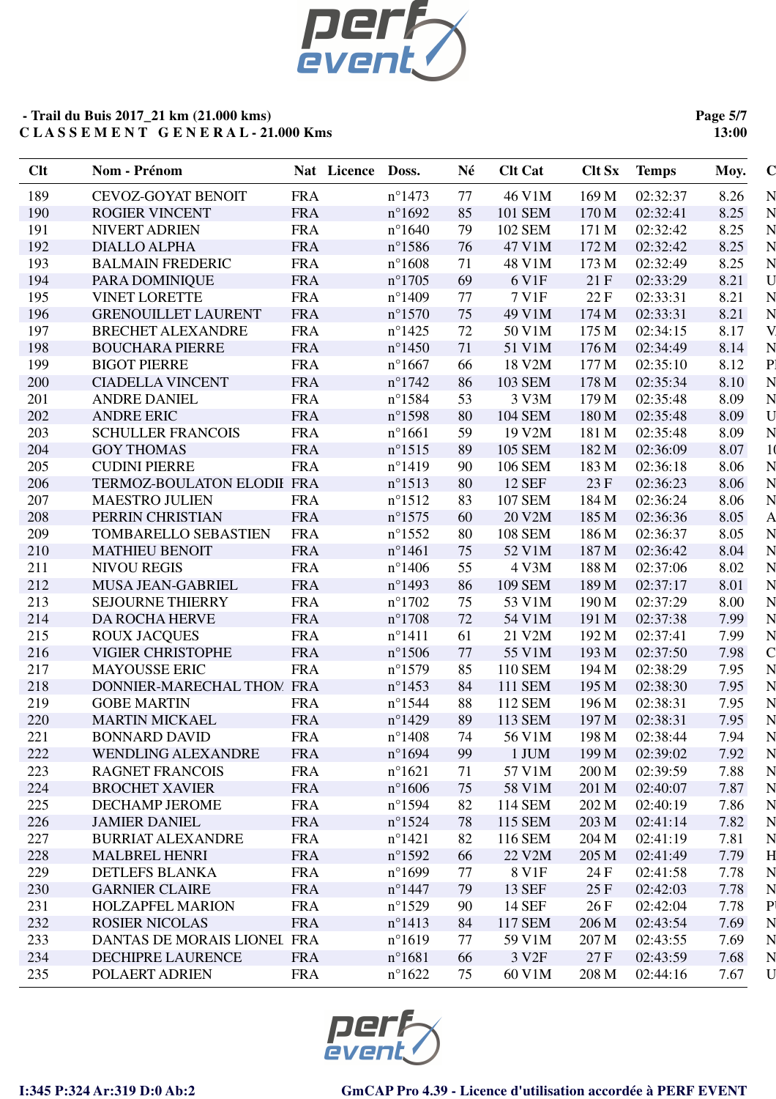

**Page 5/7 13:00**

| N<br>189<br><b>CEVOZ-GOYAT BENOIT</b><br>46 V1M<br>02:32:37<br><b>FRA</b><br>$n^{\circ}$ 1473<br>77<br>169 M<br>8.26<br>N<br><b>FRA</b><br>$n^{\circ}1692$<br>85<br>101 SEM<br>02:32:41<br>8.25<br>190<br><b>ROGIER VINCENT</b><br>170 M<br>$\overline{\bf N}$<br><b>FRA</b><br>$n^{\circ}1640$<br>79<br>02:32:42<br>8.25<br>191<br><b>NIVERT ADRIEN</b><br>102 SEM<br>171 M<br>$\overline{\bf N}$<br>192<br><b>DIALLO ALPHA</b><br><b>FRA</b><br>$n^{\circ}$ 1586<br>47 V1M<br>172 M<br>02:32:42<br>8.25<br>76<br>N<br>193<br><b>BALMAIN FREDERIC</b><br><b>FRA</b><br>48 V1M<br>02:32:49<br>8.25<br>$n^{\circ}1608$<br>71<br>173 M<br>$\mathbf U$<br>194<br><b>FRA</b><br>69<br>21F<br>02:33:29<br>8.21<br>PARA DOMINIQUE<br>$n^{\circ}1705$<br>6 V1F<br>N<br>7 V1F<br>195<br><b>VINET LORETTE</b><br><b>FRA</b><br>$n^{\circ}$ 1409<br>77<br>22 F<br>02:33:31<br>8.21<br>N<br>$n^{\circ}1570$<br>49 V1M<br>174 M<br>02:33:31<br>8.21<br>196<br><b>GRENOUILLET LAURENT</b><br><b>FRA</b><br>75<br>V.<br>197<br><b>FRA</b><br>8.17<br><b>BRECHET ALEXANDRE</b><br>$n^{\circ}$ 1425<br>72<br>50 V1M<br>175 M<br>02:34:15<br>N<br>8.14<br>198<br><b>BOUCHARA PIERRE</b><br><b>FRA</b><br>$n^{\circ}$ 1450<br>71<br>51 V1M<br>176 M<br>02:34:49<br>P<br>199<br><b>BIGOT PIERRE</b><br>$n^{\circ}1667$<br>18 V2M<br>177 M<br>8.12<br><b>FRA</b><br>02:35:10<br>66<br>$\overline{\bf N}$<br>200<br><b>FRA</b><br>$n^{\circ}1742$<br><b>103 SEM</b><br>178 M<br>02:35:34<br>8.10<br><b>CIADELLA VINCENT</b><br>86 |
|--------------------------------------------------------------------------------------------------------------------------------------------------------------------------------------------------------------------------------------------------------------------------------------------------------------------------------------------------------------------------------------------------------------------------------------------------------------------------------------------------------------------------------------------------------------------------------------------------------------------------------------------------------------------------------------------------------------------------------------------------------------------------------------------------------------------------------------------------------------------------------------------------------------------------------------------------------------------------------------------------------------------------------------------------------------------------------------------------------------------------------------------------------------------------------------------------------------------------------------------------------------------------------------------------------------------------------------------------------------------------------------------------------------------------------------------------------------------------------------------------------------|
|                                                                                                                                                                                                                                                                                                                                                                                                                                                                                                                                                                                                                                                                                                                                                                                                                                                                                                                                                                                                                                                                                                                                                                                                                                                                                                                                                                                                                                                                                                              |
|                                                                                                                                                                                                                                                                                                                                                                                                                                                                                                                                                                                                                                                                                                                                                                                                                                                                                                                                                                                                                                                                                                                                                                                                                                                                                                                                                                                                                                                                                                              |
|                                                                                                                                                                                                                                                                                                                                                                                                                                                                                                                                                                                                                                                                                                                                                                                                                                                                                                                                                                                                                                                                                                                                                                                                                                                                                                                                                                                                                                                                                                              |
|                                                                                                                                                                                                                                                                                                                                                                                                                                                                                                                                                                                                                                                                                                                                                                                                                                                                                                                                                                                                                                                                                                                                                                                                                                                                                                                                                                                                                                                                                                              |
|                                                                                                                                                                                                                                                                                                                                                                                                                                                                                                                                                                                                                                                                                                                                                                                                                                                                                                                                                                                                                                                                                                                                                                                                                                                                                                                                                                                                                                                                                                              |
|                                                                                                                                                                                                                                                                                                                                                                                                                                                                                                                                                                                                                                                                                                                                                                                                                                                                                                                                                                                                                                                                                                                                                                                                                                                                                                                                                                                                                                                                                                              |
|                                                                                                                                                                                                                                                                                                                                                                                                                                                                                                                                                                                                                                                                                                                                                                                                                                                                                                                                                                                                                                                                                                                                                                                                                                                                                                                                                                                                                                                                                                              |
|                                                                                                                                                                                                                                                                                                                                                                                                                                                                                                                                                                                                                                                                                                                                                                                                                                                                                                                                                                                                                                                                                                                                                                                                                                                                                                                                                                                                                                                                                                              |
|                                                                                                                                                                                                                                                                                                                                                                                                                                                                                                                                                                                                                                                                                                                                                                                                                                                                                                                                                                                                                                                                                                                                                                                                                                                                                                                                                                                                                                                                                                              |
|                                                                                                                                                                                                                                                                                                                                                                                                                                                                                                                                                                                                                                                                                                                                                                                                                                                                                                                                                                                                                                                                                                                                                                                                                                                                                                                                                                                                                                                                                                              |
|                                                                                                                                                                                                                                                                                                                                                                                                                                                                                                                                                                                                                                                                                                                                                                                                                                                                                                                                                                                                                                                                                                                                                                                                                                                                                                                                                                                                                                                                                                              |
|                                                                                                                                                                                                                                                                                                                                                                                                                                                                                                                                                                                                                                                                                                                                                                                                                                                                                                                                                                                                                                                                                                                                                                                                                                                                                                                                                                                                                                                                                                              |
| $\overline{N}$<br>$n^{\circ}$ 1584<br>53<br>3 V3M<br>201<br><b>ANDRE DANIEL</b><br><b>FRA</b><br>179 M<br>02:35:48<br>8.09                                                                                                                                                                                                                                                                                                                                                                                                                                                                                                                                                                                                                                                                                                                                                                                                                                                                                                                                                                                                                                                                                                                                                                                                                                                                                                                                                                                   |
| U<br>202<br><b>ANDRE ERIC</b><br><b>FRA</b><br>$n^{\circ}$ 1598<br><b>104 SEM</b><br>180 M<br>02:35:48<br>8.09<br>80                                                                                                                                                                                                                                                                                                                                                                                                                                                                                                                                                                                                                                                                                                                                                                                                                                                                                                                                                                                                                                                                                                                                                                                                                                                                                                                                                                                         |
| N<br><b>FRA</b><br>19 V2M<br>203<br><b>SCHULLER FRANCOIS</b><br>$n^{\circ}1661$<br>59<br>181 M<br>02:35:48<br>8.09                                                                                                                                                                                                                                                                                                                                                                                                                                                                                                                                                                                                                                                                                                                                                                                                                                                                                                                                                                                                                                                                                                                                                                                                                                                                                                                                                                                           |
| 1 <sub>0</sub><br>8.07<br>204<br><b>GOY THOMAS</b><br><b>FRA</b><br>$n^{\circ}1515$<br>89<br><b>105 SEM</b><br>182 M<br>02:36:09                                                                                                                                                                                                                                                                                                                                                                                                                                                                                                                                                                                                                                                                                                                                                                                                                                                                                                                                                                                                                                                                                                                                                                                                                                                                                                                                                                             |
| N<br>$n^{\circ}$ 1419<br>205<br><b>CUDINI PIERRE</b><br><b>FRA</b><br>90<br>106 SEM<br>183 M<br>02:36:18<br>8.06                                                                                                                                                                                                                                                                                                                                                                                                                                                                                                                                                                                                                                                                                                                                                                                                                                                                                                                                                                                                                                                                                                                                                                                                                                                                                                                                                                                             |
| $\overline{N}$<br>$n^{\circ}1513$<br><b>12 SEF</b><br>23 F<br>206<br>TERMOZ-BOULATON ELODII FRA<br>80<br>02:36:23<br>8.06                                                                                                                                                                                                                                                                                                                                                                                                                                                                                                                                                                                                                                                                                                                                                                                                                                                                                                                                                                                                                                                                                                                                                                                                                                                                                                                                                                                    |
| $\overline{N}$<br>207<br>$n^{\circ}1512$<br><b>107 SEM</b><br><b>MAESTRO JULIEN</b><br><b>FRA</b><br>83<br>184 M<br>02:36:24<br>8.06                                                                                                                                                                                                                                                                                                                                                                                                                                                                                                                                                                                                                                                                                                                                                                                                                                                                                                                                                                                                                                                                                                                                                                                                                                                                                                                                                                         |
| $\overline{A}$<br>208<br><b>FRA</b><br>$n^{\circ}$ 1575<br>20 V2M<br>185 M<br>8.05<br>PERRIN CHRISTIAN<br>60<br>02:36:36                                                                                                                                                                                                                                                                                                                                                                                                                                                                                                                                                                                                                                                                                                                                                                                                                                                                                                                                                                                                                                                                                                                                                                                                                                                                                                                                                                                     |
| $\overline{N}$<br>209<br><b>TOMBARELLO SEBASTIEN</b><br><b>FRA</b><br>$n^{\circ}$ 1552<br>80<br><b>108 SEM</b><br>186 M<br>02:36:37<br>8.05                                                                                                                                                                                                                                                                                                                                                                                                                                                                                                                                                                                                                                                                                                                                                                                                                                                                                                                                                                                                                                                                                                                                                                                                                                                                                                                                                                  |
| $\overline{\bf N}$<br>210<br>8.04<br><b>MATHIEU BENOIT</b><br><b>FRA</b><br>$n^{\circ}$ 1461<br>75<br>52 V1M<br>187 M<br>02:36:42                                                                                                                                                                                                                                                                                                                                                                                                                                                                                                                                                                                                                                                                                                                                                                                                                                                                                                                                                                                                                                                                                                                                                                                                                                                                                                                                                                            |
| N<br>211<br>8.02<br><b>NIVOU REGIS</b><br><b>FRA</b><br>$n^{\circ}$ 1406<br>55<br>4 V3M<br>188 M<br>02:37:06                                                                                                                                                                                                                                                                                                                                                                                                                                                                                                                                                                                                                                                                                                                                                                                                                                                                                                                                                                                                                                                                                                                                                                                                                                                                                                                                                                                                 |
| N<br>212<br><b>FRA</b><br><b>109 SEM</b><br>MUSA JEAN-GABRIEL<br>$n^{\circ}$ 1493<br>86<br>189 M<br>02:37:17<br>8.01                                                                                                                                                                                                                                                                                                                                                                                                                                                                                                                                                                                                                                                                                                                                                                                                                                                                                                                                                                                                                                                                                                                                                                                                                                                                                                                                                                                         |
| $\overline{N}$<br>213<br><b>FRA</b><br>$n^{\circ}1702$<br>75<br>53 V1M<br>190 M<br>02:37:29<br>8.00<br><b>SEJOURNE THIERRY</b>                                                                                                                                                                                                                                                                                                                                                                                                                                                                                                                                                                                                                                                                                                                                                                                                                                                                                                                                                                                                                                                                                                                                                                                                                                                                                                                                                                               |
| N<br>214<br><b>DA ROCHA HERVE</b><br><b>FRA</b><br>$n^{\circ}1708$<br>72<br>54 V1M<br>191 M<br>02:37:38<br>7.99                                                                                                                                                                                                                                                                                                                                                                                                                                                                                                                                                                                                                                                                                                                                                                                                                                                                                                                                                                                                                                                                                                                                                                                                                                                                                                                                                                                              |
| N<br>215<br><b>ROUX JACQUES</b><br><b>FRA</b><br>$n^{\circ}1411$<br>21 V2M<br>192 M<br>61<br>02:37:41<br>7.99                                                                                                                                                                                                                                                                                                                                                                                                                                                                                                                                                                                                                                                                                                                                                                                                                                                                                                                                                                                                                                                                                                                                                                                                                                                                                                                                                                                                |
| $\mathbf C$<br>216<br><b>FRA</b><br>7.98<br><b>VIGIER CHRISTOPHE</b><br>$n^{\circ}1506$<br>77<br>55 V1M<br>193 M<br>02:37:50                                                                                                                                                                                                                                                                                                                                                                                                                                                                                                                                                                                                                                                                                                                                                                                                                                                                                                                                                                                                                                                                                                                                                                                                                                                                                                                                                                                 |
| N<br>217<br><b>MAYOUSSE ERIC</b><br><b>FRA</b><br>$n^{\circ}1579$<br>85<br>110 SEM<br>194 M<br>02:38:29<br>7.95                                                                                                                                                                                                                                                                                                                                                                                                                                                                                                                                                                                                                                                                                                                                                                                                                                                                                                                                                                                                                                                                                                                                                                                                                                                                                                                                                                                              |
| N<br>218<br>$n^{\circ}$ 1453<br>7.95<br>DONNIER-MARECHAL THOM FRA<br>84<br>111 SEM<br>195 M<br>02:38:30                                                                                                                                                                                                                                                                                                                                                                                                                                                                                                                                                                                                                                                                                                                                                                                                                                                                                                                                                                                                                                                                                                                                                                                                                                                                                                                                                                                                      |
| N<br>219<br><b>GOBE MARTIN</b><br><b>FRA</b><br>$n^{\circ}$ 1544<br>88<br>112 SEM<br>196 M<br>02:38:31<br>7.95                                                                                                                                                                                                                                                                                                                                                                                                                                                                                                                                                                                                                                                                                                                                                                                                                                                                                                                                                                                                                                                                                                                                                                                                                                                                                                                                                                                               |
| N<br><b>FRA</b><br>$n^{\circ}$ 1429<br>113 SEM<br>02:38:31<br>220<br><b>MARTIN MICKAEL</b><br>89<br>197 M<br>7.95                                                                                                                                                                                                                                                                                                                                                                                                                                                                                                                                                                                                                                                                                                                                                                                                                                                                                                                                                                                                                                                                                                                                                                                                                                                                                                                                                                                            |
| N<br>74<br>02:38:44<br>7.94<br>221<br><b>BONNARD DAVID</b><br><b>FRA</b><br>$n^{\circ}$ 1408<br>56 V1M<br>198 M                                                                                                                                                                                                                                                                                                                                                                                                                                                                                                                                                                                                                                                                                                                                                                                                                                                                                                                                                                                                                                                                                                                                                                                                                                                                                                                                                                                              |
| 7.92<br>N<br>222<br><b>WENDLING ALEXANDRE</b><br><b>FRA</b><br>$n^{\circ}1694$<br>1 JUM<br>02:39:02<br>99<br>199 M                                                                                                                                                                                                                                                                                                                                                                                                                                                                                                                                                                                                                                                                                                                                                                                                                                                                                                                                                                                                                                                                                                                                                                                                                                                                                                                                                                                           |
| N<br>57 V1M<br>7.88<br>223<br><b>RAGNET FRANCOIS</b><br><b>FRA</b><br>$n^{\circ}1621$<br>200 M<br>02:39:59<br>71                                                                                                                                                                                                                                                                                                                                                                                                                                                                                                                                                                                                                                                                                                                                                                                                                                                                                                                                                                                                                                                                                                                                                                                                                                                                                                                                                                                             |
| N<br>224<br><b>BROCHET XAVIER</b><br><b>FRA</b><br>$n^{\circ}1606$<br>58 V1M<br>201 M<br>02:40:07<br>7.87<br>75                                                                                                                                                                                                                                                                                                                                                                                                                                                                                                                                                                                                                                                                                                                                                                                                                                                                                                                                                                                                                                                                                                                                                                                                                                                                                                                                                                                              |
| $\mathbf N$<br>$n^{\circ}$ 1594<br>225<br>DECHAMP JEROME<br><b>FRA</b><br>82<br>114 SEM<br>202 M<br>02:40:19<br>7.86                                                                                                                                                                                                                                                                                                                                                                                                                                                                                                                                                                                                                                                                                                                                                                                                                                                                                                                                                                                                                                                                                                                                                                                                                                                                                                                                                                                         |
| N<br><b>JAMIER DANIEL</b><br><b>FRA</b><br>$n^{\circ}1524$<br>115 SEM<br>203 M<br>02:41:14<br>7.82<br>226<br>78                                                                                                                                                                                                                                                                                                                                                                                                                                                                                                                                                                                                                                                                                                                                                                                                                                                                                                                                                                                                                                                                                                                                                                                                                                                                                                                                                                                              |
| N<br>227<br><b>BURRIAT ALEXANDRE</b><br><b>FRA</b><br>$n^{\circ}1421$<br>116 SEM<br>204 M<br>02:41:19<br>7.81<br>82                                                                                                                                                                                                                                                                                                                                                                                                                                                                                                                                                                                                                                                                                                                                                                                                                                                                                                                                                                                                                                                                                                                                                                                                                                                                                                                                                                                          |
| H<br>22 V2M<br>228<br><b>MALBREL HENRI</b><br><b>FRA</b><br>$n^{\circ}1592$<br>205 M<br>02:41:49<br>7.79<br>66                                                                                                                                                                                                                                                                                                                                                                                                                                                                                                                                                                                                                                                                                                                                                                                                                                                                                                                                                                                                                                                                                                                                                                                                                                                                                                                                                                                               |
| $\overline{N}$<br><b>DETLEFS BLANKA</b><br>$n^{\circ}1699$<br>8 V1F<br>7.78<br>229<br><b>FRA</b><br>77<br>24 F<br>02:41:58                                                                                                                                                                                                                                                                                                                                                                                                                                                                                                                                                                                                                                                                                                                                                                                                                                                                                                                                                                                                                                                                                                                                                                                                                                                                                                                                                                                   |
| $\mathbf N$<br>13 SEF<br>230<br><b>GARNIER CLAIRE</b><br><b>FRA</b><br>$n^{\circ}$ 1447<br>79<br>25 F<br>02:42:03<br>7.78                                                                                                                                                                                                                                                                                                                                                                                                                                                                                                                                                                                                                                                                                                                                                                                                                                                                                                                                                                                                                                                                                                                                                                                                                                                                                                                                                                                    |
| P<br>231<br><b>HOLZAPFEL MARION</b><br><b>FRA</b><br>$n^{\circ}1529$<br>14 SEF<br>26F<br>02:42:04<br>7.78<br>90                                                                                                                                                                                                                                                                                                                                                                                                                                                                                                                                                                                                                                                                                                                                                                                                                                                                                                                                                                                                                                                                                                                                                                                                                                                                                                                                                                                              |
| N<br>$n^{\circ}$ 1413<br>232<br><b>ROSIER NICOLAS</b><br><b>FRA</b><br>84<br><b>117 SEM</b><br>206 M<br>02:43:54<br>7.69                                                                                                                                                                                                                                                                                                                                                                                                                                                                                                                                                                                                                                                                                                                                                                                                                                                                                                                                                                                                                                                                                                                                                                                                                                                                                                                                                                                     |
| N<br>$n^{\circ}1619$<br>233<br>DANTAS DE MORAIS LIONEL FRA<br>59 V1M<br>207 M<br>02:43:55<br>77<br>7.69                                                                                                                                                                                                                                                                                                                                                                                                                                                                                                                                                                                                                                                                                                                                                                                                                                                                                                                                                                                                                                                                                                                                                                                                                                                                                                                                                                                                      |
| N<br>234<br><b>DECHIPRE LAURENCE</b><br><b>FRA</b><br>$n^{\circ}1681$<br>3 V <sub>2F</sub><br>27F<br>02:43:59<br>7.68<br>66                                                                                                                                                                                                                                                                                                                                                                                                                                                                                                                                                                                                                                                                                                                                                                                                                                                                                                                                                                                                                                                                                                                                                                                                                                                                                                                                                                                  |
| $\mathbf U$<br>235<br>POLAERT ADRIEN<br>$n^{\circ}1622$<br>75<br>60 V1M<br>208 M<br>02:44:16<br>7.67<br><b>FRA</b>                                                                                                                                                                                                                                                                                                                                                                                                                                                                                                                                                                                                                                                                                                                                                                                                                                                                                                                                                                                                                                                                                                                                                                                                                                                                                                                                                                                           |

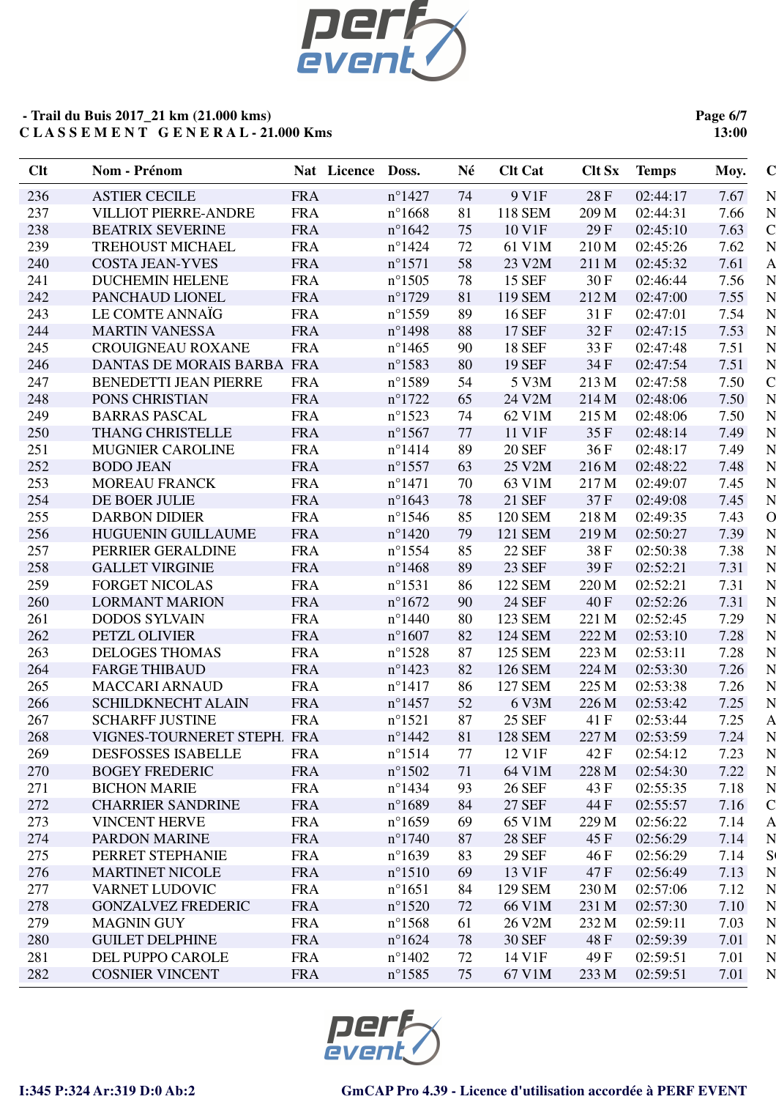

**Page 6/7 13:00**

| <b>Clt</b> | Nom - Prénom                 | Nat Licence | Doss.            | Né | <b>Clt Cat</b> | <b>Clt Sx</b> | <b>Temps</b> | $\mathbf C$<br>Moy.    |
|------------|------------------------------|-------------|------------------|----|----------------|---------------|--------------|------------------------|
| 236        | <b>ASTIER CECILE</b>         | <b>FRA</b>  | $n^{\circ}$ 1427 | 74 | 9 V1F          | 28F           | 02:44:17     | 7.67<br>N              |
| 237        | <b>VILLIOT PIERRE-ANDRE</b>  | <b>FRA</b>  | $n^{\circ}1668$  | 81 | <b>118 SEM</b> | 209 M         | 02:44:31     | N<br>7.66              |
| 238        | <b>BEATRIX SEVERINE</b>      | <b>FRA</b>  | $n^{\circ}1642$  | 75 | 10 V1F         | 29F           | 02:45:10     | $\mathsf{C}$<br>7.63   |
| 239        | <b>TREHOUST MICHAEL</b>      | <b>FRA</b>  | $n^{\circ}$ 1424 | 72 | 61 V1M         | 210 M         | 02:45:26     | N<br>7.62              |
| 240        | <b>COSTA JEAN-YVES</b>       | <b>FRA</b>  | $n^{\circ}1571$  | 58 | 23 V2M         | 211 M         | 02:45:32     | $\mathsf{A}$<br>7.61   |
| 241        | <b>DUCHEMIN HELENE</b>       | <b>FRA</b>  | $n^{\circ}$ 1505 | 78 | 15 SEF         | 30F           | 02:46:44     | N<br>7.56              |
| 242        | PANCHAUD LIONEL              | <b>FRA</b>  | $n^{\circ}1729$  | 81 | 119 SEM        | 212 M         | 02:47:00     | N<br>7.55              |
| 243        | LE COMTE ANNAÏG              | <b>FRA</b>  | $n^{\circ}$ 1559 | 89 | <b>16 SEF</b>  | 31 F          | 02:47:01     | N<br>7.54              |
| 244        | <b>MARTIN VANESSA</b>        | <b>FRA</b>  | $n^{\circ}$ 1498 | 88 | <b>17 SEF</b>  | 32F           | 02:47:15     | N<br>7.53              |
| 245        | CROUIGNEAU ROXANE            | <b>FRA</b>  | $n^{\circ}$ 1465 | 90 | <b>18 SEF</b>  | 33 F          | 02:47:48     | N<br>7.51              |
| 246        | DANTAS DE MORAIS BARBA FRA   |             | $n^{\circ}$ 1583 | 80 | <b>19 SEF</b>  | 34 F          | 02:47:54     | N<br>7.51              |
| 247        | <b>BENEDETTI JEAN PIERRE</b> | <b>FRA</b>  | $n^{\circ}$ 1589 | 54 | 5 V3M          | 213 M         | 02:47:58     | $\mathsf{C}$<br>7.50   |
| 248        | PONS CHRISTIAN               | <b>FRA</b>  | $n^{\circ}1722$  | 65 | 24 V2M         | 214 M         | 02:48:06     | N<br>7.50              |
| 249        | <b>BARRAS PASCAL</b>         | <b>FRA</b>  | $n^{\circ}$ 1523 | 74 | 62 V1M         | 215 M         | 02:48:06     | N<br>7.50              |
| 250        | THANG CHRISTELLE             | <b>FRA</b>  | $n^{\circ}$ 1567 | 77 | 11 V1F         | 35F           | 02:48:14     | N<br>7.49              |
| 251        | <b>MUGNIER CAROLINE</b>      | <b>FRA</b>  | $n^{\circ}$ 1414 | 89 | <b>20 SEF</b>  | 36F           | 02:48:17     | N<br>7.49              |
| 252        | <b>BODO JEAN</b>             | <b>FRA</b>  | $n^{\circ}$ 1557 | 63 | 25 V2M         | 216 M         | 02:48:22     | N<br>7.48              |
| 253        | <b>MOREAU FRANCK</b>         | <b>FRA</b>  | $n^{\circ}$ 1471 | 70 | 63 V1M         | 217 M         | 02:49:07     | N<br>7.45              |
| 254        | DE BOER JULIE                | <b>FRA</b>  | $n^{\circ}1643$  | 78 | 21 SEF         | 37F           | 02:49:08     | N<br>7.45              |
| 255        | <b>DARBON DIDIER</b>         | <b>FRA</b>  | $n^{\circ}$ 1546 | 85 | 120 SEM        | 218 M         | 02:49:35     | $\overline{O}$<br>7.43 |
| 256        | <b>HUGUENIN GUILLAUME</b>    | <b>FRA</b>  | $n^{\circ}$ 1420 | 79 | 121 SEM        | 219 M         | 02:50:27     | N<br>7.39              |
| 257        | PERRIER GERALDINE            | <b>FRA</b>  | $n^{\circ}$ 1554 | 85 | <b>22 SEF</b>  | 38F           | 02:50:38     | N<br>7.38              |
| 258        | <b>GALLET VIRGINIE</b>       | <b>FRA</b>  | $n^{\circ}$ 1468 | 89 | <b>23 SEF</b>  | 39F           | 02:52:21     | 7.31<br>N              |
| 259        | <b>FORGET NICOLAS</b>        | <b>FRA</b>  | $n^{\circ}1531$  | 86 | 122 SEM        | 220 M         | 02:52:21     | N<br>7.31              |
| 260        | <b>LORMANT MARION</b>        | <b>FRA</b>  | $n^{\circ}1672$  | 90 | <b>24 SEF</b>  | 40 F          | 02:52:26     | 7.31<br>N              |
| 261        | <b>DODOS SYLVAIN</b>         | <b>FRA</b>  | $n^{\circ}$ 1440 | 80 | 123 SEM        | 221 M         | 02:52:45     | 7.29<br>N              |
| 262        | PETZL OLIVIER                | <b>FRA</b>  | $n^{\circ}1607$  | 82 | <b>124 SEM</b> | 222 M         | 02:53:10     | N<br>7.28              |
| 263        | <b>DELOGES THOMAS</b>        | <b>FRA</b>  | $n^{\circ}1528$  | 87 | 125 SEM        | 223 M         | 02:53:11     | N<br>7.28              |
| 264        | <b>FARGE THIBAUD</b>         | <b>FRA</b>  | $n^{\circ}$ 1423 | 82 | 126 SEM        | 224 M         | 02:53:30     | N<br>7.26              |
| 265        | <b>MACCARI ARNAUD</b>        | <b>FRA</b>  | $n^{\circ}$ 1417 | 86 | 127 SEM        | 225 M         | 02:53:38     | N<br>7.26              |
| 266        | <b>SCHILDKNECHT ALAIN</b>    | <b>FRA</b>  | $n^{\circ}$ 1457 | 52 | 6 V3M          | 226 M         | 02:53:42     | N<br>7.25              |
| 267        | <b>SCHARFF JUSTINE</b>       | <b>FRA</b>  | $n^{\circ}1521$  | 87 | <b>25 SEF</b>  | 41 F          | 02:53:44     | 7.25<br>$\mathsf{A}$   |
| 268        | VIGNES-TOURNERET STEPH. FRA  |             | $n^{\circ}$ 1442 | 81 | <b>128 SEM</b> | 227 M         | 02:53:59     | 7.24<br>N              |
| 269        | <b>DESFOSSES ISABELLE</b>    | <b>FRA</b>  | $n^{\circ}1514$  | 77 | 12 V1F         | 42 F          | 02:54:12     | 7.23<br>N              |
| 270        | <b>BOGEY FREDERIC</b>        | <b>FRA</b>  | $n^{\circ}1502$  | 71 | 64 V1M         | 228 M         | 02:54:30     | 7.22<br>N              |
| 271        | <b>BICHON MARIE</b>          | <b>FRA</b>  | $n^{\circ}$ 1434 | 93 | <b>26 SEF</b>  | 43 F          | 02:55:35     | N<br>7.18              |
| 272        | <b>CHARRIER SANDRINE</b>     | <b>FRA</b>  | $n^{\circ}1689$  | 84 | <b>27 SEF</b>  | 44 F          | 02:55:57     | 7.16<br>$\mathsf{C}$   |
| 273        | <b>VINCENT HERVE</b>         | <b>FRA</b>  | $n^{\circ}1659$  | 69 | 65 V1M         | 229 M         | 02:56:22     | 7.14<br>A              |
| 274        | PARDON MARINE                | <b>FRA</b>  | $n^{\circ}1740$  | 87 | <b>28 SEF</b>  | 45 F          | 02:56:29     | 7.14<br>N              |
| 275        | PERRET STEPHANIE             | <b>FRA</b>  | $n^{\circ}1639$  | 83 | <b>29 SEF</b>  | 46 F          | 02:56:29     | S(<br>7.14             |
| 276        | <b>MARTINET NICOLE</b>       | <b>FRA</b>  | $n^{\circ}1510$  | 69 | 13 V1F         | 47 F          | 02:56:49     | N<br>7.13              |
| 277        | VARNET LUDOVIC               | <b>FRA</b>  | $n^{\circ}1651$  | 84 | 129 SEM        | 230 M         | 02:57:06     | 7.12<br>N              |
| 278        | <b>GONZALVEZ FREDERIC</b>    | <b>FRA</b>  | $n^{\circ}1520$  | 72 | 66 V1M         | 231 M         | 02:57:30     | 7.10<br>N              |
| 279        | <b>MAGNIN GUY</b>            | <b>FRA</b>  | $n^{\circ}$ 1568 | 61 | 26 V2M         | 232 M         | 02:59:11     | 7.03<br>N              |
| 280        | <b>GUILET DELPHINE</b>       | <b>FRA</b>  | $n^{\circ}1624$  | 78 | <b>30 SEF</b>  | 48 F          | 02:59:39     | 7.01<br>N              |
| 281        | DEL PUPPO CAROLE             | <b>FRA</b>  | $n^{\circ}$ 1402 | 72 | 14 V1F         | 49 F          | 02:59:51     | N<br>7.01              |
| 282        | <b>COSNIER VINCENT</b>       | <b>FRA</b>  | $n^{\circ}$ 1585 | 75 | 67 V1M         | 233 M         | 02:59:51     | 7.01<br>N              |
|            |                              |             |                  |    |                |               |              |                        |